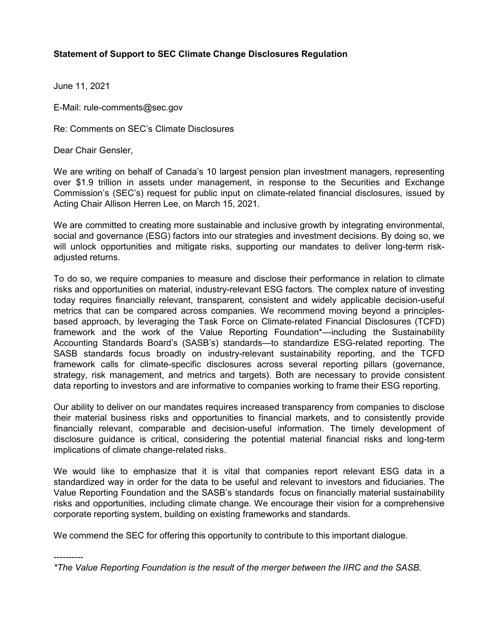## **Statement of Support to SEC Climate Change Disclosures Regulation**

June 11, 2021

E-Mail: rule-comments@sec.gov

Re: Comments on SEC's Climate Disclosures

Dear Chair Gensler,

----------

We are writing on behalf of Canada's 10 largest pension plan investment managers, representing over \$1.9 trillion in assets under management, in response to the Securities and Exchange Commission's (SEC's) request for public input on climate-related financial disclosures, issued by Acting Chair Allison Herren Lee, on March 15, 2021.

We are committed to creating more sustainable and inclusive growth by integrating environmental, social and governance (ESG) factors into our strategies and investment decisions. By doing so, we will unlock opportunities and mitigate risks, supporting our mandates to deliver long-term riskadjusted returns.

To do so, we require companies to measure and disclose their performance in relation to climate risks and opportunities on material, industry-relevant ESG factors. The complex nature of investing today requires financially relevant, transparent, consistent and widely applicable decision-useful metrics that can be compared across companies. We recommend moving beyond a principlesbased approach, by leveraging the Task Force on Climate-related Financial Disclosures (TCFD) framework and the work of the Value Reporting Foundation\*—including the Sustainability Accounting Standards Board's (SASB's) standards—to standardize ESG-related reporting. The SASB standards focus broadly on industry-relevant sustainability reporting, and the TCFD framework calls for climate-specific disclosures across several reporting pillars (governance, strategy, risk management, and metrics and targets). Both are necessary to provide consistent data reporting to investors and are informative to companies working to frame their ESG reporting.

Our ability to deliver on our mandates requires increased transparency from companies to disclose their material business risks and opportunities to financial markets, and to consistently provide financially relevant, comparable and decision-useful information. The timely development of disclosure guidance is critical, considering the potential material financial risks and long-term implications of climate change-related risks.

We would like to emphasize that it is vital that companies report relevant ESG data in a standardized way in order for the data to be useful and relevant to investors and fiduciaries. The Value Reporting Foundation and the SASB's standards focus on financially material sustainability risks and opportunities, including climate change. We encourage their vision for a comprehensive corporate reporting system, building on existing frameworks and standards.

We commend the SEC for offering this opportunity to contribute to this important dialogue.

*\*The Value Reporting Foundation is the result of the merger between the IIRC and the SASB.*